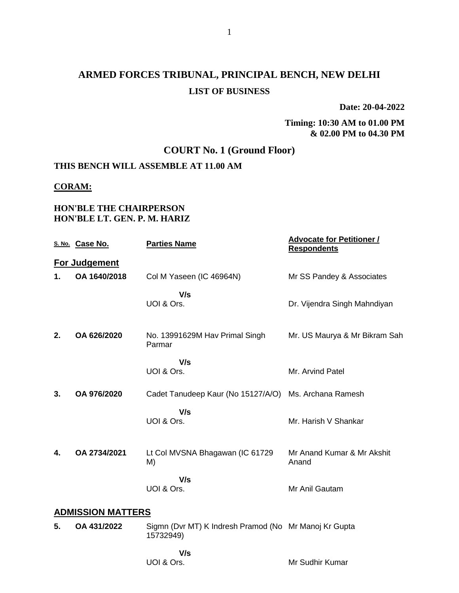# **ARMED FORCES TRIBUNAL, PRINCIPAL BENCH, NEW DELHI LIST OF BUSINESS**

**Date: 20-04-2022**

#### **Timing: 10:30 AM to 01.00 PM & 02.00 PM to 04.30 PM**

## **COURT No. 1 (Ground Floor)**

# **THIS BENCH WILL ASSEMBLE AT 11.00 AM**

#### **CORAM:**

### **HON'BLE THE CHAIRPERSON HON'BLE LT. GEN. P. M. HARIZ**

|                          | S. No. Case No.      | <b>Parties Name</b>                                                | <b>Advocate for Petitioner /</b><br><b>Respondents</b>      |
|--------------------------|----------------------|--------------------------------------------------------------------|-------------------------------------------------------------|
|                          | <b>For Judgement</b> |                                                                    |                                                             |
| 1.                       | OA 1640/2018         | Col M Yaseen (IC 46964N)                                           | Mr SS Pandey & Associates                                   |
|                          |                      | V/s<br>UOI & Ors.                                                  | Dr. Vijendra Singh Mahndiyan                                |
| 2.                       | OA 626/2020          | No. 13991629M Hav Primal Singh<br>Parmar                           | Mr. US Maurya & Mr Bikram Sah                               |
|                          |                      | V/s<br>UOI & Ors.                                                  | Mr. Arvind Patel                                            |
| 3.                       | OA 976/2020          | Cadet Tanudeep Kaur (No 15127/A/O)                                 | Ms. Archana Ramesh                                          |
|                          |                      | V/s<br>UOI & Ors.                                                  | Mr. Harish V Shankar                                        |
| 4.                       | OA 2734/2021         | Lt Col MVSNA Bhagawan (IC 61729<br>M)                              | Mr Anand Kumar & Mr Akshit<br>Anand                         |
|                          |                      | V/s<br>UOI & Ors.                                                  | Mr Anil Gautam                                              |
| <b>ADMISSION MATTERS</b> |                      |                                                                    |                                                             |
| 5.                       | OA 431/2022          | Sigmn (Dvr MT) K Indresh Pramod (No Mr Manoj Kr Gupta<br>15732949) |                                                             |
|                          |                      | V/s                                                                |                                                             |
|                          |                      | $\overline{110100}$                                                | $\mathbf{M} \cdot \mathbf{O}$ $\mathbf{H} \cdot \mathbf{M}$ |

UOI & Ors.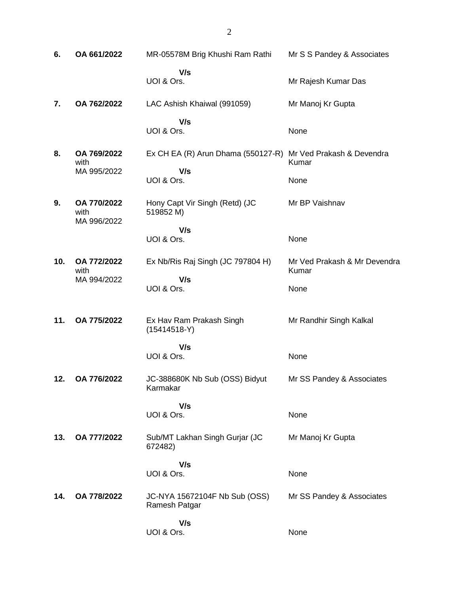| 6.  | OA 661/2022                        | MR-05578M Brig Khushi Ram Rathi                              | Mr S S Pandey & Associates            |
|-----|------------------------------------|--------------------------------------------------------------|---------------------------------------|
|     |                                    | V/s<br>UOI & Ors.                                            | Mr Rajesh Kumar Das                   |
| 7.  | OA 762/2022                        | LAC Ashish Khaiwal (991059)                                  | Mr Manoj Kr Gupta                     |
|     |                                    | V/s<br>UOI & Ors.                                            | None                                  |
| 8.  | OA 769/2022<br>with                | Ex CH EA (R) Arun Dhama (550127-R) Mr Ved Prakash & Devendra | Kumar                                 |
|     | MA 995/2022                        | V/s<br>UOI & Ors.                                            | None                                  |
| 9.  | OA 770/2022<br>with<br>MA 996/2022 | Hony Capt Vir Singh (Retd) (JC<br>519852 M)                  | Mr BP Vaishnav                        |
|     |                                    | V/s<br>UOI & Ors.                                            | None                                  |
| 10. | OA 772/2022<br>with                | Ex Nb/Ris Raj Singh (JC 797804 H)                            | Mr Ved Prakash & Mr Devendra<br>Kumar |
|     | MA 994/2022                        | V/s<br>UOI & Ors.                                            | None                                  |
| 11. | OA 775/2022                        | Ex Hav Ram Prakash Singh<br>$(15414518-Y)$                   | Mr Randhir Singh Kalkal               |
|     |                                    | V/s<br>UOI & Ors.                                            | None                                  |
| 12. | OA 776/2022                        | JC-388680K Nb Sub (OSS) Bidyut<br>Karmakar                   | Mr SS Pandey & Associates             |
|     |                                    | V/s<br>UOI & Ors.                                            | None                                  |
| 13. | OA 777/2022                        | Sub/MT Lakhan Singh Gurjar (JC<br>672482)                    | Mr Manoj Kr Gupta                     |
|     |                                    | V/s<br>UOI & Ors.                                            | None                                  |
| 14. | OA 778/2022                        | JC-NYA 15672104F Nb Sub (OSS)<br>Ramesh Patgar               | Mr SS Pandey & Associates             |
|     |                                    | V/s<br>UOI & Ors.                                            | None                                  |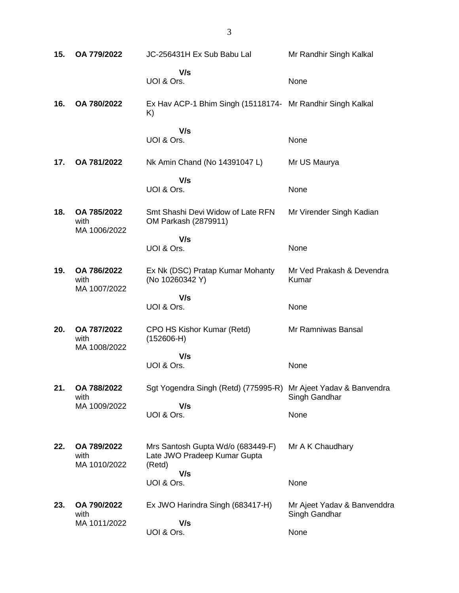| 15. | OA 779/2022                         | JC-256431H Ex Sub Babu Lal                                                  | Mr Randhir Singh Kalkal                      |
|-----|-------------------------------------|-----------------------------------------------------------------------------|----------------------------------------------|
|     |                                     | V/s<br>UOI & Ors.                                                           | None                                         |
| 16. | OA 780/2022                         | Ex Hav ACP-1 Bhim Singh (15118174- Mr Randhir Singh Kalkal<br>K)            |                                              |
|     |                                     | V/s<br>UOI & Ors.                                                           | None                                         |
| 17. | OA 781/2022                         | Nk Amin Chand (No 14391047 L)                                               | Mr US Maurya                                 |
|     |                                     | V/s<br>UOI & Ors.                                                           | None                                         |
| 18. | OA 785/2022<br>with<br>MA 1006/2022 | Smt Shashi Devi Widow of Late RFN<br>OM Parkash (2879911)                   | Mr Virender Singh Kadian                     |
|     |                                     | V/s<br>UOI & Ors.                                                           | None                                         |
| 19. | OA 786/2022<br>with<br>MA 1007/2022 | Ex Nk (DSC) Pratap Kumar Mohanty<br>(No 10260342 Y)                         | Mr Ved Prakash & Devendra<br>Kumar           |
|     |                                     | V/s<br>UOI & Ors.                                                           | None                                         |
| 20. | OA 787/2022<br>with<br>MA 1008/2022 | CPO HS Kishor Kumar (Retd)<br>$(152606-H)$                                  | Mr Ramniwas Bansal                           |
|     |                                     | V/s<br>UOI & Ors.                                                           | None                                         |
| 21. | OA 788/2022<br>with<br>MA 1009/2022 | Sgt Yogendra Singh (Retd) (775995-R)<br>V/s                                 | Mr Ajeet Yadav & Banvendra<br>Singh Gandhar  |
|     |                                     | UOI & Ors.                                                                  | None                                         |
| 22. | OA 789/2022<br>with<br>MA 1010/2022 | Mrs Santosh Gupta Wd/o (683449-F)<br>Late JWO Pradeep Kumar Gupta<br>(Retd) | Mr A K Chaudhary                             |
|     |                                     | V/s<br>UOI & Ors.                                                           | None                                         |
| 23. | OA 790/2022<br>with                 | Ex JWO Harindra Singh (683417-H)                                            | Mr Ajeet Yadav & Banvenddra<br>Singh Gandhar |
|     | MA 1011/2022                        | V/s<br>UOI & Ors.                                                           | None                                         |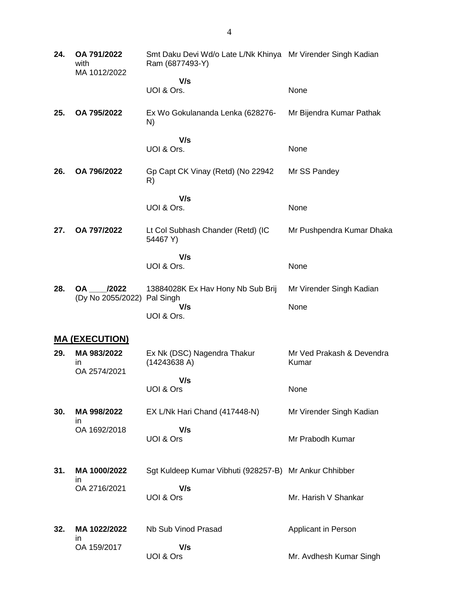| 24. | OA 791/2022<br>with<br>MA 1012/2022 | Smt Daku Devi Wd/o Late L/Nk Khinya Mr Virender Singh Kadian<br>Ram (6877493-Y) |                                    |
|-----|-------------------------------------|---------------------------------------------------------------------------------|------------------------------------|
|     |                                     | V/s                                                                             |                                    |
|     |                                     | UOI & Ors.                                                                      | None                               |
| 25. | OA 795/2022                         | Ex Wo Gokulananda Lenka (628276-<br>N)                                          | Mr Bijendra Kumar Pathak           |
|     |                                     | V/s<br>UOI & Ors.                                                               | None                               |
| 26. | OA 796/2022                         | Gp Capt CK Vinay (Retd) (No 22942<br>R)                                         | Mr SS Pandey                       |
|     |                                     | V/s                                                                             |                                    |
|     |                                     | UOI & Ors.                                                                      | None                               |
| 27. | OA 797/2022                         | Lt Col Subhash Chander (Retd) (IC<br>54467 Y)                                   | Mr Pushpendra Kumar Dhaka          |
|     |                                     | V/s                                                                             |                                    |
|     |                                     | UOI & Ors.                                                                      | None                               |
| 28. | OA /2022<br>(Dy No 2055/2022)       | 13884028K Ex Hav Hony Nb Sub Brij                                               | Mr Virender Singh Kadian           |
|     |                                     | Pal Singh<br>V/s                                                                | None                               |
|     |                                     | UOI & Ors.                                                                      |                                    |
|     | <b>MA (EXECUTION)</b>               |                                                                                 |                                    |
| 29. | MA 983/2022<br>in<br>OA 2574/2021   | Ex Nk (DSC) Nagendra Thakur<br>(14243638 A)                                     | Mr Ved Prakash & Devendra<br>Kumar |
|     |                                     | V/s                                                                             |                                    |
|     |                                     | UOI & Ors                                                                       | None                               |
| 30. | MA 998/2022<br>ın                   | EX L/Nk Hari Chand (417448-N)                                                   | Mr Virender Singh Kadian           |
|     | OA 1692/2018                        | V/s                                                                             |                                    |
|     |                                     | UOI & Ors                                                                       | Mr Prabodh Kumar                   |
| 31. | MA 1000/2022                        | Sgt Kuldeep Kumar Vibhuti (928257-B) Mr Ankur Chhibber                          |                                    |
|     | in.<br>OA 2716/2021                 | V/s                                                                             |                                    |
|     |                                     | UOI & Ors                                                                       | Mr. Harish V Shankar               |
| 32. | MA 1022/2022                        | Nb Sub Vinod Prasad                                                             | Applicant in Person                |
|     | ın<br>OA 159/2017                   | V/s                                                                             |                                    |
|     |                                     | UOI & Ors                                                                       | Mr. Avdhesh Kumar Singh            |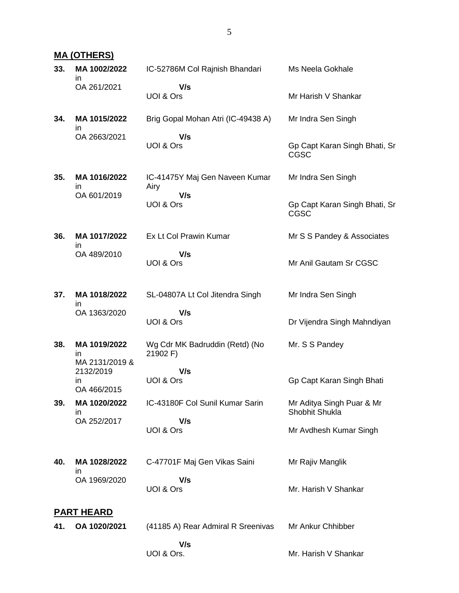### **MA (OTHERS)**

| 33. | MA 1002/2022<br>ın                               | IC-52786M Col Rajnish Bhandari             | Ms Neela Gokhale                             |
|-----|--------------------------------------------------|--------------------------------------------|----------------------------------------------|
|     | OA 261/2021                                      | V/s<br>UOI & Ors                           | Mr Harish V Shankar                          |
| 34. | MA 1015/2022<br>ın                               | Brig Gopal Mohan Atri (IC-49438 A)         | Mr Indra Sen Singh                           |
|     | OA 2663/2021                                     | V/s<br>UOI & Ors                           | Gp Capt Karan Singh Bhati, Sr<br><b>CGSC</b> |
| 35. | MA 1016/2022<br>ın                               | IC-41475Y Maj Gen Naveen Kumar<br>Airy     | Mr Indra Sen Singh                           |
|     | OA 601/2019                                      | V/s<br>UOI & Ors                           | Gp Capt Karan Singh Bhati, Sr<br><b>CGSC</b> |
| 36. | MA 1017/2022<br>ın                               | Ex Lt Col Prawin Kumar                     | Mr S S Pandey & Associates                   |
|     | OA 489/2010                                      | V/s<br>UOI & Ors                           | Mr Anil Gautam Sr CGSC                       |
| 37. | MA 1018/2022                                     | SL-04807A Lt Col Jitendra Singh            | Mr Indra Sen Singh                           |
|     | ın<br>OA 1363/2020                               | V/s<br>UOI & Ors                           | Dr Vijendra Singh Mahndiyan                  |
| 38. | MA 1019/2022<br>in                               | Wg Cdr MK Badruddin (Retd) (No<br>21902 F) | Mr. S S Pandey                               |
|     | MA 2131/2019 &<br>2132/2019<br>in<br>OA 466/2015 | V/s<br>UOI & Ors                           | Gp Capt Karan Singh Bhati                    |
| 39. | MA 1020/2022<br>in                               | IC-43180F Col Sunil Kumar Sarin            | Mr Aditya Singh Puar & Mr<br>Shobhit Shukla  |
|     | OA 252/2017                                      | V/s<br>UOI & Ors                           | Mr Avdhesh Kumar Singh                       |
| 40. | MA 1028/2022<br>in                               | C-47701F Maj Gen Vikas Saini               | Mr Rajiv Manglik                             |
|     | OA 1969/2020                                     | V/s<br>UOI & Ors                           | Mr. Harish V Shankar                         |
|     | <b>PART HEARD</b>                                |                                            |                                              |
| 41. | OA 1020/2021                                     | (41185 A) Rear Admiral R Sreenivas         | Mr Ankur Chhibber                            |
|     |                                                  | V/s<br>UOI & Ors.                          | Mr. Harish V Shankar                         |